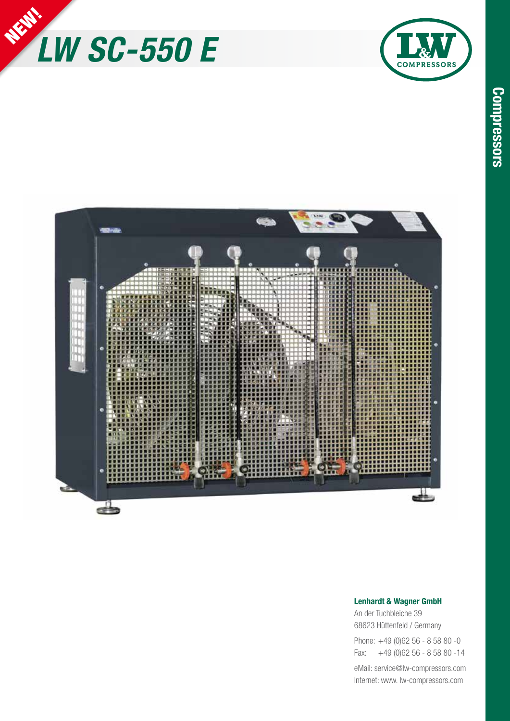





## **Lenhardt & Wagner GmbH**

An der Tuchbleiche 39 68623 Hüttenfeld / Germany Phone: +49 (0)62 56 - 8 58 80 -0

Fax: +49 (0)62 56 - 8 58 80 -14

eMail: service@lw-compressors.com Internet: www. lw-compressors.com